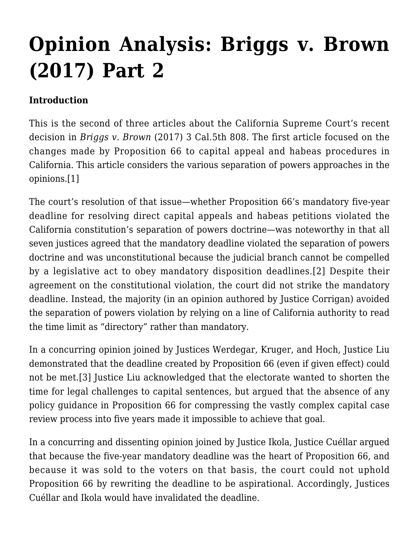# **[Opinion Analysis: Briggs v. Brown](http://scocablog.com/opinion-analysis-briggs-v-brown-2017-part-2/) [\(2017\) Part 2](http://scocablog.com/opinion-analysis-briggs-v-brown-2017-part-2/)**

### **Introduction**

This is the second of three articles about the California Supreme Court's recent decision in *[Briggs v. Brown](http://caselaw.findlaw.com/ca-supreme-court/1871906.html)* (2017) 3 Cal.5th 808. The first article focused on the changes made by Proposition 66 to capital appeal and habeas procedures in California. This article considers the various separation of powers approaches in the opinions[.\[1\]](#page-8-0)

<span id="page-0-1"></span><span id="page-0-0"></span>The court's resolution of that issue—whether Proposition 66's mandatory five-year deadline for resolving direct capital appeals and habeas petitions violated the California constitution's separation of powers doctrine—was noteworthy in that all seven justices agreed that the mandatory deadline violated the separation of powers doctrine and was unconstitutional because the judicial branch cannot be compelled by a legislative act to obey mandatory disposition deadlines.[\[2\]](#page-8-1) Despite their agreement on the constitutional violation, the court did not strike the mandatory deadline. Instead, the majority (in an opinion authored by Justice Corrigan) avoided the separation of powers violation by relying on a line of California authority to read the time limit as "directory" rather than mandatory.

<span id="page-0-2"></span>In a concurring opinion joined by Justices Werdegar, Kruger, and Hoch, Justice Liu demonstrated that the deadline created by Proposition 66 (even if given effect) could not be met.[\[3\]](#page-9-0) Justice Liu acknowledged that the electorate wanted to shorten the time for legal challenges to capital sentences, but argued that the absence of any policy guidance in Proposition 66 for compressing the vastly complex capital case review process into five years made it impossible to achieve that goal.

In a concurring and dissenting opinion joined by Justice Ikola, Justice Cuéllar argued that because the five-year mandatory deadline was the heart of Proposition 66, and because it was sold to the voters on that basis, the court could not uphold Proposition 66 by rewriting the deadline to be aspirational. Accordingly, Justices Cuéllar and Ikola would have invalidated the deadline.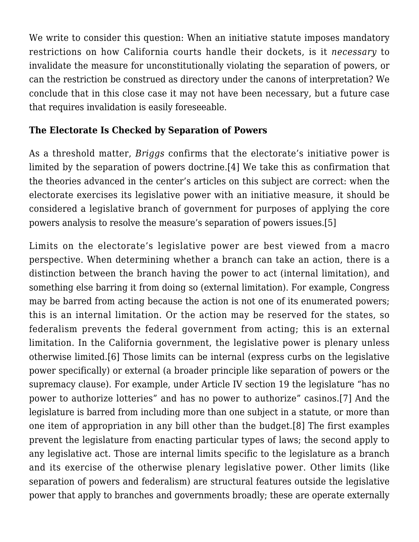We write to consider this question: When an initiative statute imposes mandatory restrictions on how California courts handle their dockets, is it *necessary* to invalidate the measure for unconstitutionally violating the separation of powers, or can the restriction be construed as directory under the canons of interpretation? We conclude that in this close case it may not have been necessary, but a future case that requires invalidation is easily foreseeable.

### **The Electorate Is Checked by Separation of Powers**

<span id="page-1-0"></span>As a threshold matter, *Briggs* confirms that the electorate's initiative power is limited by the separation of powers doctrine.[\[4\]](#page-9-1) We take this as confirmation that the theories advanced in the center's articles on this subject are correct: when the electorate exercises its legislative power with an initiative measure, it should be considered a legislative branch of government for purposes of applying the core powers analysis to resolve the measure's separation of powers issues[.\[5\]](#page-9-2)

<span id="page-1-4"></span><span id="page-1-3"></span><span id="page-1-2"></span><span id="page-1-1"></span>Limits on the electorate's legislative power are best viewed from a macro perspective. When determining whether a branch can take an action, there is a distinction between the branch having the power to act (internal limitation), and something else barring it from doing so (external limitation). For example, Congress may be barred from acting because the action is not one of its enumerated powers; this is an internal limitation. Or the action may be reserved for the states, so federalism prevents the federal government from acting; this is an external limitation. In the California government, the legislative power is plenary unless otherwise limited[.\[6\]](#page-9-3) Those limits can be internal (express curbs on the legislative power specifically) or external (a broader principle like separation of powers or the supremacy clause). For example, under Article IV section 19 the legislature "has no power to authorize lotteries" and has no power to authorize" casinos[.\[7\]](#page-9-4) And the legislature is barred from including more than one subject in a statute, or more than one item of appropriation in any bill other than the budget.[\[8\]](#page-10-0) The first examples prevent the legislature from enacting particular types of laws; the second apply to any legislative act. Those are internal limits specific to the legislature as a branch and its exercise of the otherwise plenary legislative power. Other limits (like separation of powers and federalism) are structural features outside the legislative power that apply to branches and governments broadly; these are operate externally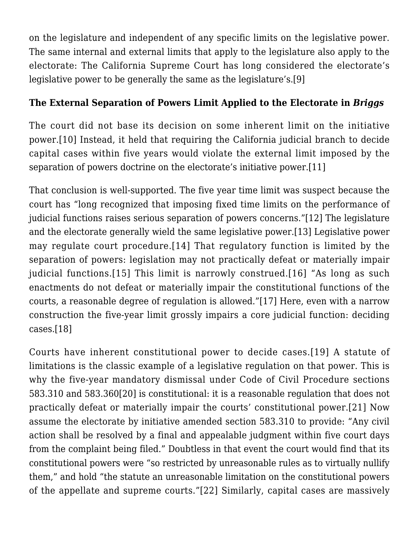on the legislature and independent of any specific limits on the legislative power. The same internal and external limits that apply to the legislature also apply to the electorate: The California Supreme Court has long considered the electorate's legislative power to be generally the same as the legislature's.[\[9\]](#page-10-1)

## <span id="page-2-0"></span>**The External Separation of Powers Limit Applied to the Electorate in** *Briggs*

<span id="page-2-1"></span>The court did not base its decision on some inherent limit on the initiative power[.\[10\]](#page-10-2) Instead, it held that requiring the California judicial branch to decide capital cases within five years would violate the external limit imposed by the separation of powers doctrine on the electorate's initiative power.[\[11\]](#page-10-3)

<span id="page-2-5"></span><span id="page-2-4"></span><span id="page-2-3"></span><span id="page-2-2"></span>That conclusion is well-supported. The five year time limit was suspect because the court has "long recognized that imposing fixed time limits on the performance of judicial functions raises serious separation of powers concerns.["\[12\]](#page-10-4) The legislature and the electorate generally wield the same legislative power[.\[13\]](#page-10-5) Legislative power may regulate court procedure.[\[14\]](#page-11-0) That regulatory function is limited by the separation of powers: legislation may not practically defeat or materially impair judicial functions.[\[15\]](#page-11-1) This limit is narrowly construed.[\[16\]](#page-11-2) "As long as such enactments do not defeat or materially impair the constitutional functions of the courts, a reasonable degree of regulation is allowed.["\[17\]](#page-11-3) Here, even with a narrow construction the five-year limit grossly impairs a core judicial function: deciding cases[.\[18\]](#page-11-4)

<span id="page-2-13"></span><span id="page-2-12"></span><span id="page-2-11"></span><span id="page-2-10"></span><span id="page-2-9"></span><span id="page-2-8"></span><span id="page-2-7"></span><span id="page-2-6"></span>Courts have inherent constitutional power to decide cases.[\[19\]](#page-11-5) A statute of limitations is the classic example of a legislative regulation on that power. This is why the five-year mandatory dismissal under Code of Civil Procedure sections 583.310 and 583.36[0\[20\]](#page-12-0) is constitutional: it is a reasonable regulation that does not practically defeat or materially impair the courts' constitutional power.[\[21\]](#page-12-1) Now assume the electorate by initiative amended section 583.310 to provide: "Any civil action shall be resolved by a final and appealable judgment within five court days from the complaint being filed." Doubtless in that event the court would find that its constitutional powers were "so restricted by unreasonable rules as to virtually nullify them," and hold "the statute an unreasonable limitation on the constitutional powers of the appellate and supreme courts.["\[22\]](#page-12-2) Similarly, capital cases are massively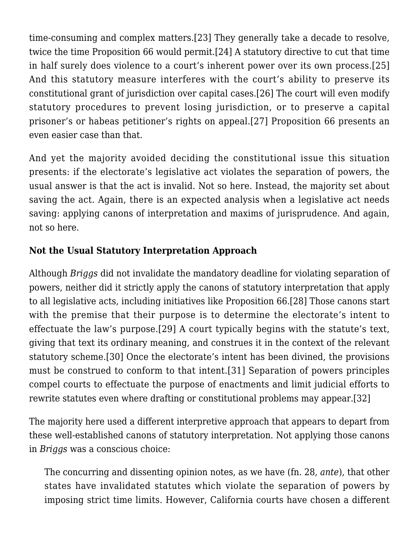<span id="page-3-2"></span><span id="page-3-1"></span><span id="page-3-0"></span>time-consuming and complex matters.[\[23\]](#page-12-3) They generally take a decade to resolve, twice the time Proposition 66 would permit[.\[24\]](#page-13-0) A statutory directive to cut that time in half surely does violence to a court's inherent power over its own process.[\[25\]](#page-13-1) And this statutory measure interferes with the court's ability to preserve its constitutional grant of jurisdiction over capital cases.[\[26\]](#page-13-2) The court will even modify statutory procedures to prevent losing jurisdiction, or to preserve a capital prisoner's or habeas petitioner's rights on appeal.[\[27\]](#page-13-3) Proposition 66 presents an even easier case than that.

<span id="page-3-3"></span>And yet the majority avoided deciding the constitutional issue this situation presents: if the electorate's legislative act violates the separation of powers, the usual answer is that the act is invalid. Not so here. Instead, the majority set about saving the act. Again, there is an expected analysis when a legislative act needs saving: applying canons of interpretation and maxims of jurisprudence. And again, not so here.

# **Not the Usual Statutory Interpretation Approach**

<span id="page-3-5"></span><span id="page-3-4"></span>Although *Briggs* did not invalidate the mandatory deadline for violating separation of powers, neither did it strictly apply the canons of statutory interpretation that apply to all legislative acts, including initiatives like Proposition 66.[\[28\]](#page-14-0) Those canons start with the premise that their purpose is to determine the electorate's intent to effectuate the law's purpose[.\[29\]](#page-14-1) A court typically begins with the statute's text, giving that text its ordinary meaning, and construes it in the context of the relevant statutory scheme[.\[30\]](#page-14-2) Once the electorate's intent has been divined, the provisions must be construed to conform to that intent.[\[31\]](#page-14-3) Separation of powers principles compel courts to effectuate the purpose of enactments and limit judicial efforts to rewrite statutes even where drafting or constitutional problems may appear.[\[32\]](#page-14-4)

<span id="page-3-8"></span><span id="page-3-7"></span><span id="page-3-6"></span>The majority here used a different interpretive approach that appears to depart from these well-established canons of statutory interpretation. Not applying those canons in *Briggs* was a conscious choice:

The concurring and dissenting opinion notes, as we have (fn. 28, *ante*), that other states have invalidated statutes which violate the separation of powers by imposing strict time limits. However, California courts have chosen a different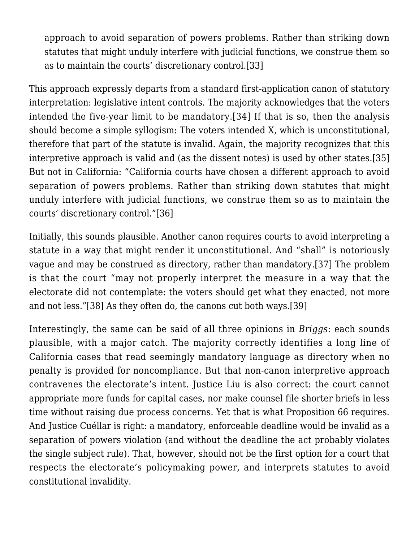approach to avoid separation of powers problems. Rather than striking down statutes that might unduly interfere with judicial functions, we construe them so as to maintain the courts' discretionary control.[\[33\]](#page-14-5)

<span id="page-4-2"></span><span id="page-4-1"></span><span id="page-4-0"></span>This approach expressly departs from a standard first-application canon of statutory interpretation: legislative intent controls. The majority acknowledges that the voters intended the five-year limit to be mandatory.[\[34\]](#page-14-6) If that is so, then the analysis should become a simple syllogism: The voters intended X, which is unconstitutional, therefore that part of the statute is invalid. Again, the majority recognizes that this interpretive approach is valid and (as the dissent notes) is used by other states[.\[35\]](#page-14-7) But not in California: "California courts have chosen a different approach to avoid separation of powers problems. Rather than striking down statutes that might unduly interfere with judicial functions, we construe them so as to maintain the courts' discretionary control.["\[36\]](#page-14-8)

<span id="page-4-4"></span><span id="page-4-3"></span>Initially, this sounds plausible. Another canon requires courts to avoid interpreting a statute in a way that might render it unconstitutional. And "shall" is notoriously vague and may be construed as directory, rather than mandatory.[\[37\]](#page-14-9) The problem is that the court "may not properly interpret the measure in a way that the electorate did not contemplate: the voters should get what they enacted, not more and not less."[\[38\]](#page-14-10) As they often do, the canons cut both ways.[\[39\]](#page-14-11)

<span id="page-4-5"></span>Interestingly, the same can be said of all three opinions in *Briggs*: each sounds plausible, with a major catch. The majority correctly identifies a long line of California cases that read seemingly mandatory language as directory when no penalty is provided for noncompliance. But that non-canon interpretive approach contravenes the electorate's intent. Justice Liu is also correct: the court cannot appropriate more funds for capital cases, nor make counsel file shorter briefs in less time without raising due process concerns. Yet that is what Proposition 66 requires. And Justice Cuéllar is right: a mandatory, enforceable deadline would be invalid as a separation of powers violation (and without the deadline the act probably violates the single subject rule). That, however, should not be the first option for a court that respects the electorate's policymaking power, and interprets statutes to avoid constitutional invalidity.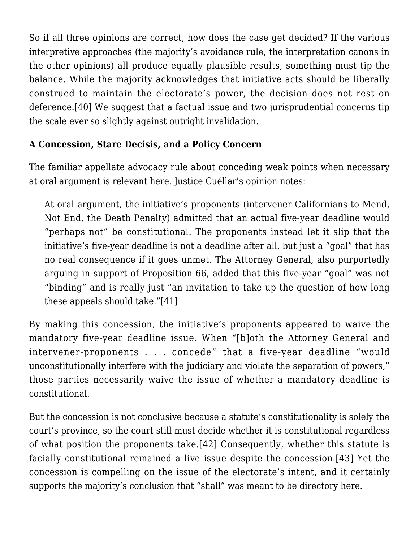So if all three opinions are correct, how does the case get decided? If the various interpretive approaches (the majority's avoidance rule, the interpretation canons in the other opinions) all produce equally plausible results, something must tip the balance. While the majority acknowledges that initiative acts should be liberally construed to maintain the electorate's power, the decision does not rest on deference.[\[40\]](#page-14-12) We suggest that a factual issue and two jurisprudential concerns tip the scale ever so slightly against outright invalidation.

## <span id="page-5-0"></span>**A Concession, Stare Decisis, and a Policy Concern**

The familiar appellate advocacy rule about conceding weak points when necessary at oral argument is relevant here. Justice Cuéllar's opinion notes:

At oral argument, the initiative's proponents (intervener Californians to Mend, Not End, the Death Penalty) admitted that an actual five-year deadline would "perhaps not" be constitutional. The proponents instead let it slip that the initiative's five-year deadline is not a deadline after all, but just a "goal" that has no real consequence if it goes unmet. The Attorney General, also purportedly arguing in support of Proposition 66, added that this five-year "goal" was not "binding" and is really just "an invitation to take up the question of how long these appeals should take."[\[41\]](#page-15-0)

<span id="page-5-1"></span>By making this concession, the initiative's proponents appeared to waive the mandatory five-year deadline issue. When "[b]oth the Attorney General and intervener-proponents . . . concede" that a five-year deadline "would unconstitutionally interfere with the judiciary and violate the separation of powers," those parties necessarily waive the issue of whether a mandatory deadline is constitutional.

<span id="page-5-3"></span><span id="page-5-2"></span>But the concession is not conclusive because a statute's constitutionality is solely the court's province, so the court still must decide whether it is constitutional regardless of what position the proponents take.[\[42\]](#page-15-1) Consequently, whether this statute is facially constitutional remained a live issue despite the concession.[\[43\]](#page-15-2) Yet the concession is compelling on the issue of the electorate's intent, and it certainly supports the majority's conclusion that "shall" was meant to be directory here.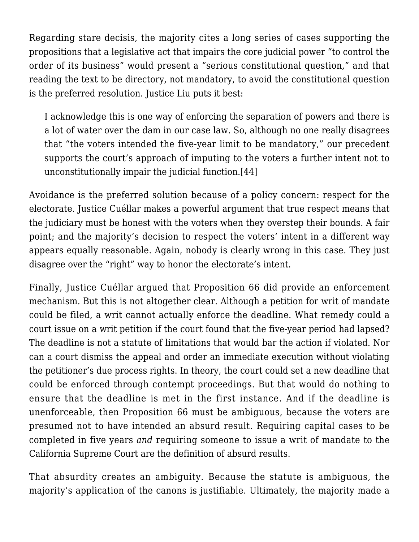Regarding stare decisis, the majority cites a long series of cases supporting the propositions that a legislative act that impairs the core judicial power "to control the order of its business" would present a "serious constitutional question," and that reading the text to be directory, not mandatory, to avoid the constitutional question is the preferred resolution. Justice Liu puts it best:

I acknowledge this is one way of enforcing the separation of powers and there is a lot of water over the dam in our case law. So, although no one really disagrees that "the voters intended the five-year limit to be mandatory," our precedent supports the court's approach of imputing to the voters a further intent not to unconstitutionally impair the judicial function[.\[44\]](#page-15-3)

<span id="page-6-0"></span>Avoidance is the preferred solution because of a policy concern: respect for the electorate. Justice Cuéllar makes a powerful argument that true respect means that the judiciary must be honest with the voters when they overstep their bounds. A fair point; and the majority's decision to respect the voters' intent in a different way appears equally reasonable. Again, nobody is clearly wrong in this case. They just disagree over the "right" way to honor the electorate's intent.

Finally, Justice Cuéllar argued that Proposition 66 did provide an enforcement mechanism. But this is not altogether clear. Although a petition for writ of mandate could be filed, a writ cannot actually enforce the deadline. What remedy could a court issue on a writ petition if the court found that the five-year period had lapsed? The deadline is not a statute of limitations that would bar the action if violated. Nor can a court dismiss the appeal and order an immediate execution without violating the petitioner's due process rights. In theory, the court could set a new deadline that could be enforced through contempt proceedings. But that would do nothing to ensure that the deadline is met in the first instance. And if the deadline is unenforceable, then Proposition 66 must be ambiguous, because the voters are presumed not to have intended an absurd result. Requiring capital cases to be completed in five years *and* requiring someone to issue a writ of mandate to the California Supreme Court are the definition of absurd results.

That absurdity creates an ambiguity. Because the statute is ambiguous, the majority's application of the canons is justifiable. Ultimately, the majority made a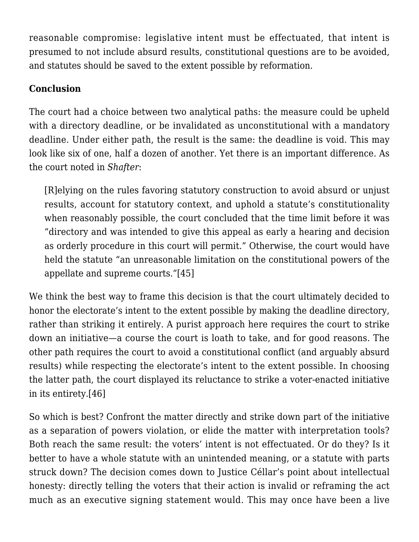reasonable compromise: legislative intent must be effectuated, that intent is presumed to not include absurd results, constitutional questions are to be avoided, and statutes should be saved to the extent possible by reformation.

#### **Conclusion**

The court had a choice between two analytical paths: the measure could be upheld with a directory deadline, or be invalidated as unconstitutional with a mandatory deadline. Under either path, the result is the same: the deadline is void. This may look like six of one, half a dozen of another. Yet there is an important difference. As the court noted in *Shafter*:

[R]elying on the rules favoring statutory construction to avoid absurd or unjust results, account for statutory context, and uphold a statute's constitutionality when reasonably possible, the court concluded that the time limit before it was "directory and was intended to give this appeal as early a hearing and decision as orderly procedure in this court will permit." Otherwise, the court would have held the statute "an unreasonable limitation on the constitutional powers of the appellate and supreme courts."[\[45\]](#page-15-4)

<span id="page-7-0"></span>We think the best way to frame this decision is that the court ultimately decided to honor the electorate's intent to the extent possible by making the deadline directory, rather than striking it entirely. A purist approach here requires the court to strike down an initiative—a course the court is loath to take, and for good reasons. The other path requires the court to avoid a constitutional conflict (and arguably absurd results) while respecting the electorate's intent to the extent possible. In choosing the latter path, the court displayed its reluctance to strike a voter-enacted initiative in its entirety[.\[46\]](#page-15-5)

<span id="page-7-1"></span>So which is best? Confront the matter directly and strike down part of the initiative as a separation of powers violation, or elide the matter with interpretation tools? Both reach the same result: the voters' intent is not effectuated. Or do they? Is it better to have a whole statute with an unintended meaning, or a statute with parts struck down? The decision comes down to Justice Céllar's point about intellectual honesty: directly telling the voters that their action is invalid or reframing the act much as an executive signing statement would. This may once have been a live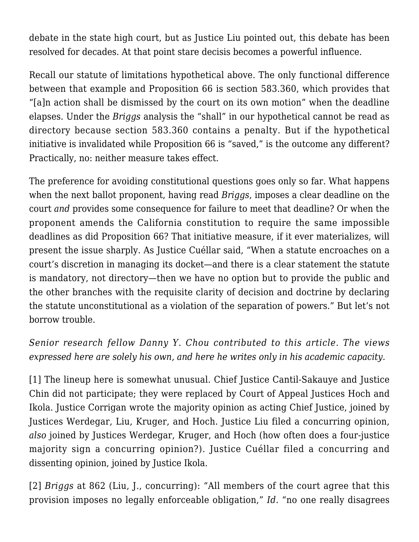debate in the state high court, but as Justice Liu pointed out, this debate has been resolved for decades. At that point stare decisis becomes a powerful influence.

Recall our statute of limitations hypothetical above. The only functional difference between that example and Proposition 66 is section 583.360, which provides that "[a]n action shall be dismissed by the court on its own motion" when the deadline elapses. Under the *Briggs* analysis the "shall" in our hypothetical cannot be read as directory because section 583.360 contains a penalty. But if the hypothetical initiative is invalidated while Proposition 66 is "saved," is the outcome any different? Practically, no: neither measure takes effect.

The preference for avoiding constitutional questions goes only so far. What happens when the next ballot proponent, having read *Briggs*, imposes a clear deadline on the court *and* provides some consequence for failure to meet that deadline? Or when the proponent amends the California constitution to require the same impossible deadlines as did Proposition 66? That initiative measure, if it ever materializes, will present the issue sharply. As Justice Cuéllar said, "When a statute encroaches on a court's discretion in managing its docket—and there is a clear statement the statute is mandatory, not directory—then we have no option but to provide the public and the other branches with the requisite clarity of decision and doctrine by declaring the statute unconstitutional as a violation of the separation of powers." But let's not borrow trouble.

# *Senior research fellow Danny Y. Chou contributed to this article. The views expressed here are solely his own, and here he writes only in his academic capacity.*

<span id="page-8-0"></span>[\[1\]](#page-0-0) The lineup here is somewhat unusual. Chief Justice Cantil-Sakauye and Justice Chin did not participate; they were replaced by Court of Appeal Justices Hoch and Ikola. Justice Corrigan wrote the majority opinion as acting Chief Justice, joined by Justices Werdegar, Liu, Kruger, and Hoch. Justice Liu filed a concurring opinion, *also* joined by Justices Werdegar, Kruger, and Hoch (how often does a four-justice majority sign a concurring opinion?). Justice Cuéllar filed a concurring and dissenting opinion, joined by Justice Ikola.

<span id="page-8-1"></span>[\[2\]](#page-0-1) *[Briggs](http://caselaw.findlaw.com/ca-supreme-court/1871906.html)* at 862 (Liu, J., concurring): "All members of the court agree that this provision imposes no legally enforceable obligation," *Id.* "no one really disagrees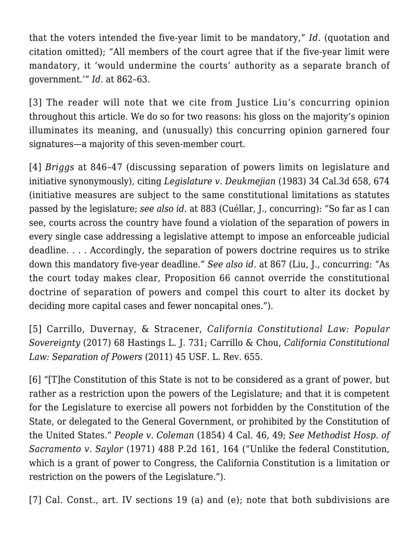that the voters intended the five-year limit to be mandatory," *Id.* (quotation and citation omitted); "All members of the court agree that if the five-year limit were mandatory, it 'would undermine the courts' authority as a separate branch of government.'" *Id.* at 862–63.

<span id="page-9-0"></span>[\[3\]](#page-0-2) The reader will note that we cite from Justice Liu's concurring opinion throughout this article. We do so for two reasons: his gloss on the majority's opinion illuminates its meaning, and (unusually) this concurring opinion garnered four signatures—a majority of this seven-member court.

<span id="page-9-1"></span>[\[4\]](#page-1-0) *[Briggs](http://caselaw.findlaw.com/ca-supreme-court/1871906.html)* at 846–47 (discussing separation of powers limits on legislature and initiative synonymously), citing *[Legislature v. Deukmejian](https://law.justia.com/cases/california/supreme-court/3d/34/658.html)* (1983) 34 Cal.3d 658, 674 (initiative measures are subject to the same constitutional limitations as statutes passed by the legislature; *see also id*. at 883 (Cuéllar, J., concurring): "So far as I can see, courts across the country have found a violation of the separation of powers in every single case addressing a legislative attempt to impose an enforceable judicial deadline. . . . Accordingly, the separation of powers doctrine requires us to strike down this mandatory five-year deadline*." See also id.* at 867 (Liu, J., concurring: "As the court today makes clear, Proposition 66 cannot override the constitutional doctrine of separation of powers and compel this court to alter its docket by deciding more capital cases and fewer noncapital ones.").

<span id="page-9-2"></span>[\[5\]](#page-1-1) Carrillo, Duvernay, & Stracener, *California Constitutional Law: Popular Sovereignty* (2017) 68 Hastings L. J. 731; Carrillo & Chou, *California Constitutional Law: Separation of Powers* (2011) 45 USF. L. Rev. 655.

<span id="page-9-3"></span>[\[6\]](#page-1-2) "[T]he Constitution of this State is not to be considered as a grant of power, but rather as a restriction upon the powers of the Legislature; and that it is competent for the Legislature to exercise all powers not forbidden by the Constitution of the State, or delegated to the General Government, or prohibited by the Constitution of the United States." *People v. Coleman* (1854) 4 Cal. 46, 49; *See [Methodist Hosp. of](http://caselaw.findlaw.com/ca-supreme-court/1827306.html) [Sacramento v. Saylor](http://caselaw.findlaw.com/ca-supreme-court/1827306.html)* (1971) 488 P.2d 161, 164 ("Unlike the federal Constitution, which is a grant of power to Congress, the California Constitution is a limitation or restriction on the powers of the Legislature.").

<span id="page-9-4"></span>[\[7\]](#page-1-3) Cal. Const., art. IV sections 19 (a) and (e); note that both subdivisions are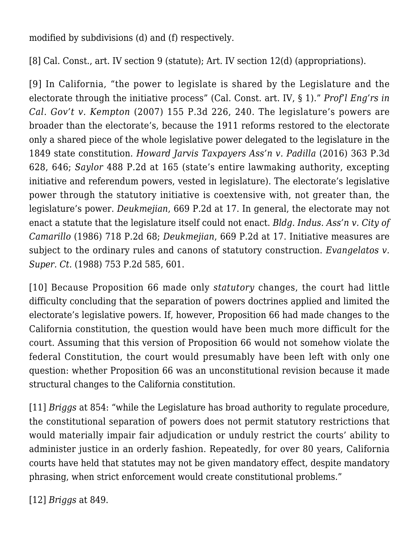modified by subdivisions (d) and (f) respectively.

<span id="page-10-0"></span>[\[8\]](#page-1-4) Cal. Const., art. IV section 9 (statute); Art. IV section 12(d) (appropriations).

<span id="page-10-1"></span>[\[9\]](#page-2-0) In California, "the power to legislate is shared by the Legislature and the electorate through the initiative process" (Cal. Const. art. IV, § 1)." *[Prof'l Eng'rs in](http://caselaw.findlaw.com/ca-supreme-court/1447066.html) [Cal. Gov't v. Kempton](http://caselaw.findlaw.com/ca-supreme-court/1447066.html)* (2007) 155 P.3d 226, 240. The legislature's powers are broader than the electorate's, because the 1911 reforms restored to the electorate only a shared piece of the whole legislative power delegated to the legislature in the 1849 state constitution. *[Howard Jarvis Taxpayers Ass'n v. Padilla](http://caselaw.findlaw.com/ca-supreme-court/1722182.html)* (2016) 363 P.3d 628, 646; *Saylor* 488 P.2d at 165 (state's entire lawmaking authority, excepting initiative and referendum powers, vested in legislature). The electorate's legislative power through the statutory initiative is coextensive with, not greater than, the legislature's power. *Deukmejian*, 669 P.2d at 17. In general, the electorate may not enact a statute that the legislature itself could not enact. *[Bldg. Indus. Ass'n v. City of](https://www.casemine.com/judgement/us/59148d83add7b04934544507) [Camarillo](https://www.casemine.com/judgement/us/59148d83add7b04934544507)* (1986) 718 P.2d 68; *Deukmejian*, 669 P.2d at 17. Initiative measures are subject to the ordinary rules and canons of statutory construction. *[Evangelatos v.](https://law.justia.com/cases/california/supreme-court/3d/44/1188.html) [Super. Ct.](https://law.justia.com/cases/california/supreme-court/3d/44/1188.html)* (1988) 753 P.2d 585, 601.

<span id="page-10-2"></span>[\[10\]](#page-2-1) Because Proposition 66 made only *statutory* changes, the court had little difficulty concluding that the separation of powers doctrines applied and limited the electorate's legislative powers. If, however, Proposition 66 had made changes to the California constitution, the question would have been much more difficult for the court. Assuming that this version of Proposition 66 would not somehow violate the federal Constitution, the court would presumably have been left with only one question: whether Proposition 66 was an unconstitutional revision because it made structural changes to the California constitution.

<span id="page-10-3"></span>[\[11\]](#page-2-2) *[Briggs](http://caselaw.findlaw.com/ca-supreme-court/1871906.html)* at 854: "while the Legislature has broad authority to regulate procedure, the constitutional separation of powers does not permit statutory restrictions that would materially impair fair adjudication or unduly restrict the courts' ability to administer justice in an orderly fashion. Repeatedly, for over 80 years, California courts have held that statutes may not be given mandatory effect, despite mandatory phrasing, when strict enforcement would create constitutional problems."

<span id="page-10-5"></span><span id="page-10-4"></span>[\[12\]](#page-2-3) *[Briggs](http://caselaw.findlaw.com/ca-supreme-court/1871906.html)* at 849.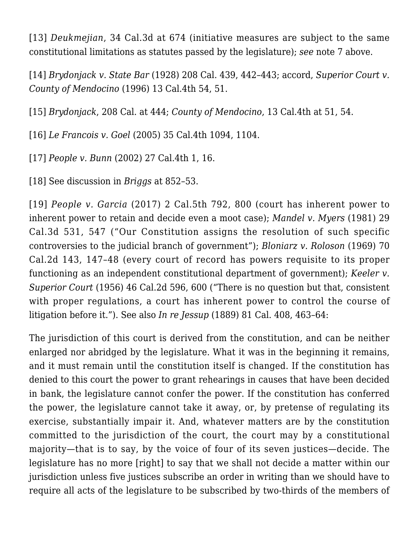[\[13\]](#page-2-4) *Deukmejian*, 34 Cal.3d at 674 (initiative measures are subject to the same constitutional limitations as statutes passed by the legislature); *see* note 7 above.

<span id="page-11-0"></span>[\[14\]](#page-2-5) *[Brydonjack v. State Bar](https://www.courtlistener.com/opinion/3305560/brydonjack-v-state-bar/)* (1928) 208 Cal. 439, 442–443; accord, *[Superior Court v.](https://law.justia.com/cases/california/supreme-court/4th/13/45.html) [County of Mendocino](https://law.justia.com/cases/california/supreme-court/4th/13/45.html)* (1996) 13 Cal.4th 54, 51.

<span id="page-11-1"></span>[\[15\]](#page-2-6) *[Brydonjack](https://www.courtlistener.com/opinion/3305560/brydonjack-v-state-bar/)*, 208 Cal. at 444; *County of Mendocino*, 13 Cal.4th at 51, 54.

<span id="page-11-2"></span>[\[16\]](#page-2-6) *[Le Francois v. Goel](http://caselaw.findlaw.com/summary/opinion/ca-supreme-court/2005/06/09/130607.html)* (2005) 35 Cal.4th 1094, 1104.

<span id="page-11-3"></span>[\[17\]](#page-2-7) *[People v. Bunn](https://law.justia.com/cases/california/supreme-court/4th/27/1.html)* (2002) 27 Cal.4th 1, 16.

<span id="page-11-4"></span>[\[18\]](#page-2-8) See discussion in *[Briggs](http://caselaw.findlaw.com/ca-supreme-court/1871906.html)* at 852–53.

<span id="page-11-5"></span>[\[19\]](#page-2-9) *[People v. Garcia](https://www.leagle.com/decision/incaco20170320032)* (2017) 2 Cal.5th 792, 800 (court has inherent power to inherent power to retain and decide even a moot case); *[Mandel v. Myers](https://law.justia.com/cases/california/supreme-court/3d/29/531.html)* (1981) 29 Cal.3d 531, 547 ("Our Constitution assigns the resolution of such specific controversies to the judicial branch of government"); *[Bloniarz v. Roloson](http://caselaw.findlaw.com/ca-supreme-court/1824576.html)* (1969) 70 Cal.2d 143, 147–48 (every court of record has powers requisite to its proper functioning as an independent constitutional department of government); *[Keeler v.](https://scholar.google.com/scholar_case?case=13521615002005199713&hl=en&as_sdt=6&as_vis=1&oi=scholarr) [Superior Court](https://scholar.google.com/scholar_case?case=13521615002005199713&hl=en&as_sdt=6&as_vis=1&oi=scholarr)* (1956) 46 Cal.2d 596, 600 ("There is no question but that, consistent with proper regulations, a court has inherent power to control the course of litigation before it."). See also *In re Jessup* (1889) 81 Cal. 408, 463–64:

The jurisdiction of this court is derived from the constitution, and can be neither enlarged nor abridged by the legislature. What it was in the beginning it remains, and it must remain until the constitution itself is changed. If the constitution has denied to this court the power to grant rehearings in causes that have been decided in bank, the legislature cannot confer the power. If the constitution has conferred the power, the legislature cannot take it away, or, by pretense of regulating its exercise, substantially impair it. And, whatever matters are by the constitution committed to the jurisdiction of the court, the court may by a constitutional majority—that is to say, by the voice of four of its seven justices—decide. The legislature has no more [right] to say that we shall not decide a matter within our jurisdiction unless five justices subscribe an order in writing than we should have to require all acts of the legislature to be subscribed by two-thirds of the members of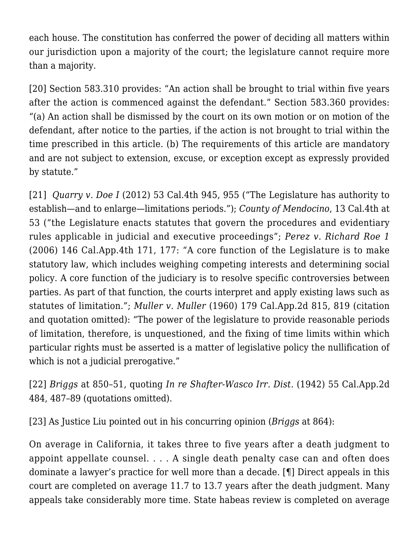each house. The constitution has conferred the power of deciding all matters within our jurisdiction upon a majority of the court; the legislature cannot require more than a majority.

<span id="page-12-0"></span>[\[20\]](#page-2-10) Section 583.310 provides: "An action shall be brought to trial within five years after the action is commenced against the defendant." Section 583.360 provides: "(a) An action shall be dismissed by the court on its own motion or on motion of the defendant, after notice to the parties, if the action is not brought to trial within the time prescribed in this article. (b) The requirements of this article are mandatory and are not subject to extension, excuse, or exception except as expressly provided by statute."

<span id="page-12-1"></span>[\[21\]](#page-2-11) *[Quarry v. Doe I](https://scocal.stanford.edu/opinion/quarry-v-doe-i-34062)* (2012) 53 Cal.4th 945, 955 ("The Legislature has authority to establish—and to enlarge—limitations periods."); *County of Mendocino*, 13 Cal.4th at 53 ("the Legislature enacts statutes that govern the procedures and evidentiary rules applicable in judicial and executive proceedings"; *[Perez v. Richard Roe 1](http://caselaw.findlaw.com/ca-court-of-appeal/1085587.html)* (2006) 146 Cal.App.4th 171, 177: "A core function of the Legislature is to make statutory law, which includes weighing competing interests and determining social policy. A core function of the judiciary is to resolve specific controversies between parties. As part of that function, the courts interpret and apply existing laws such as statutes of limitation."; *[Muller v. Muller](https://law.justia.com/cases/california/court-of-appeal/2d/179/815.html)* (1960) 179 Cal.App.2d 815, 819 (citation and quotation omitted): "The power of the legislature to provide reasonable periods of limitation, therefore, is unquestioned, and the fixing of time limits within which particular rights must be asserted is a matter of legislative policy the nullification of which is not a judicial prerogative."

<span id="page-12-2"></span>[\[22\]](#page-2-12) *[Briggs](http://caselaw.findlaw.com/ca-supreme-court/1871906.html)* at 850–51, quoting *[In re Shafter-Wasco Irr. Dist.](https://www.courtlistener.com/opinion/2611342/in-re-shafter-wasco-irr-dist/)* (1942) 55 Cal.App.2d 484, 487–89 (quotations omitted).

<span id="page-12-3"></span>[\[23\]](#page-2-13) As Justice Liu pointed out in his concurring opinion (*[Briggs](http://caselaw.findlaw.com/ca-supreme-court/1871906.html)* at 864):

On average in California, it takes three to five years after a death judgment to appoint appellate counsel. . . . A single death penalty case can and often does dominate a lawyer's practice for well more than a decade. [¶] Direct appeals in this court are completed on average 11.7 to 13.7 years after the death judgment. Many appeals take considerably more time. State habeas review is completed on average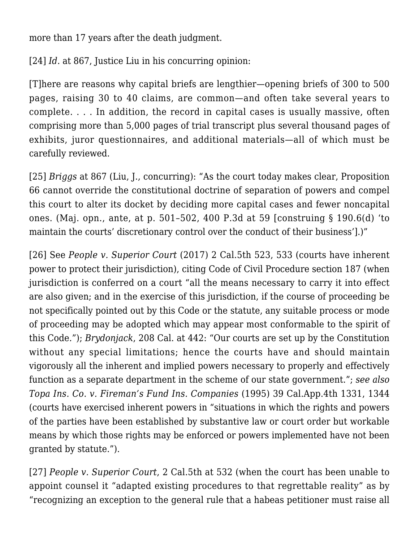more than 17 years after the death judgment.

<span id="page-13-0"></span>[\[24\]](#page-3-0) *Id.* at 867, Justice Liu in his concurring opinion:

[T]here are reasons why capital briefs are lengthier—opening briefs of 300 to 500 pages, raising 30 to 40 claims, are common—and often take several years to complete. . . . In addition, the record in capital cases is usually massive, often comprising more than 5,000 pages of trial transcript plus several thousand pages of exhibits, juror questionnaires, and additional materials—all of which must be carefully reviewed.

<span id="page-13-1"></span>[\[25\]](#page-3-1) *[Briggs](http://caselaw.findlaw.com/ca-supreme-court/1871906.html)* at 867 (Liu, J., concurring): "As the court today makes clear, Proposition 66 cannot override the constitutional doctrine of separation of powers and compel this court to alter its docket by deciding more capital cases and fewer noncapital ones. (Maj. opn., ante, at p. 501–502, 400 P.3d at 59 [construing § 190.6(d) 'to maintain the courts' discretionary control over the conduct of their business'].)"

<span id="page-13-2"></span>[\[26\]](#page-3-2) See *[People v. Superior Court](https://www.leagle.com/decision/incaco20170216098)* (2017) 2 Cal.5th 523, 533 (courts have inherent power to protect their jurisdiction), citing [Code of Civil Procedure section 187](http://codes.findlaw.com/ca/code-of-civil-procedure/ccp-sect-187.html) (when jurisdiction is conferred on a court "all the means necessary to carry it into effect are also given; and in the exercise of this jurisdiction, if the course of proceeding be not specifically pointed out by this Code or the statute, any suitable process or mode of proceeding may be adopted which may appear most conformable to the spirit of this Code*.*"); *[Brydonjack](https://www.courtlistener.com/opinion/3305560/brydonjack-v-state-bar/)*, 208 Cal. at 442: "Our courts are set up by the Constitution without any special limitations; hence the courts have and should maintain vigorously all the inherent and implied powers necessary to properly and effectively function as a separate department in the scheme of our state government."; *see also [Topa Ins. Co. v. Fireman's Fund Ins. Companies](https://law.justia.com/cases/california/court-of-appeal/4th/39/1331.html)* (1995) 39 Cal.App.4th 1331, 1344 (courts have exercised inherent powers in "situations in which the rights and powers of the parties have been established by substantive law or court order but workable means by which those rights may be enforced or powers implemented have not been granted by statute.").

<span id="page-13-3"></span>[\[27\]](#page-3-3) *[People v. Superior Court](https://www.leagle.com/decision/incaco20170216098)*, 2 Cal.5th at 532 (when the court has been unable to appoint counsel it "adapted existing procedures to that regrettable reality" as by "recognizing an exception to the general rule that a habeas petitioner must raise all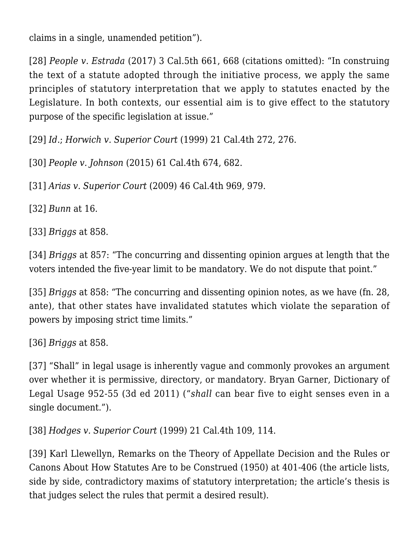claims in a single, unamended petition").

<span id="page-14-0"></span>[\[28\]](#page-3-4) *[People v. Estrada](https://www.leagle.com/decision/incaco20170724033)* (2017) 3 Cal.5th 661, 668 (citations omitted): "In construing the text of a statute adopted through the initiative process, we apply the same principles of statutory interpretation that we apply to statutes enacted by the Legislature. In both contexts, our essential aim is to give effect to the statutory purpose of the specific legislation at issue."

<span id="page-14-1"></span>[\[29\]](#page-3-5) *Id*.; *[Horwich v. Superior Court](https://scocal.stanford.edu/opinion/horwich-v-superior-court-acuna-32063)* (1999) 21 Cal.4th 272, 276.

<span id="page-14-2"></span>[\[30\]](#page-3-6) *[People v. Johnson](https://www.leagle.com/decision/incaco20150702036)* (2015) 61 Cal.4th 674, 682.

<span id="page-14-3"></span>[\[31\]](#page-3-7) *[Arias v. Superior Court](https://www.leagle.com/decision/incaco20090629047)* (2009) 46 Cal.4th 969, 979.

<span id="page-14-4"></span>[\[32\]](#page-3-8) *[Bunn](https://law.justia.com/cases/california/supreme-court/4th/27/1.html)* at 16.

<span id="page-14-5"></span>[\[33\]](#page-4-0) *[Briggs](http://caselaw.findlaw.com/ca-supreme-court/1871906.html)* at 858.

<span id="page-14-6"></span>[\[34\]](#page-4-1) *[Briggs](http://caselaw.findlaw.com/ca-supreme-court/1871906.html)* at 857: "The concurring and dissenting opinion argues at length that the voters intended the five-year limit to be mandatory. We do not dispute that point."

<span id="page-14-7"></span>[\[35\]](#page-4-2) *[Briggs](http://caselaw.findlaw.com/ca-supreme-court/1871906.html)* at 858: "The concurring and dissenting opinion notes, as we have (fn. 28, ante), that other states have invalidated statutes which violate the separation of powers by imposing strict time limits."

<span id="page-14-8"></span>[\[36\]](#page-4-3) *[Briggs](http://caselaw.findlaw.com/ca-supreme-court/1871906.html)* at 858.

<span id="page-14-9"></span>[\[37\]](#page-4-4) "Shall" in legal usage is inherently vague and commonly provokes an argument over whether it is permissive, directory, or mandatory. Bryan Garner, Dictionary of Legal Usage 952-55 (3d ed 2011) ("*shall* can bear five to eight senses even in a single document.").

<span id="page-14-10"></span>[\[38\]](#page-4-5) *[Hodges v. Superior Court](https://law.justia.com/cases/california/supreme-court/4th/21/109.html)* (1999) 21 Cal.4th 109, 114.

<span id="page-14-12"></span><span id="page-14-11"></span>[\[39\]](#page-4-5) Karl Llewellyn, [Remarks on the Theory of Appellate Decision and the Rules or](http://prawfsblawg.blogs.com/prawfsblawg/files/llewellyn_on_canons.pdf) [Canons About How Statutes Are to be Construed \(1950\)](http://prawfsblawg.blogs.com/prawfsblawg/files/llewellyn_on_canons.pdf) at 401-406 (the article lists, side by side, contradictory maxims of statutory interpretation; the article's thesis is that judges select the rules that permit a desired result).